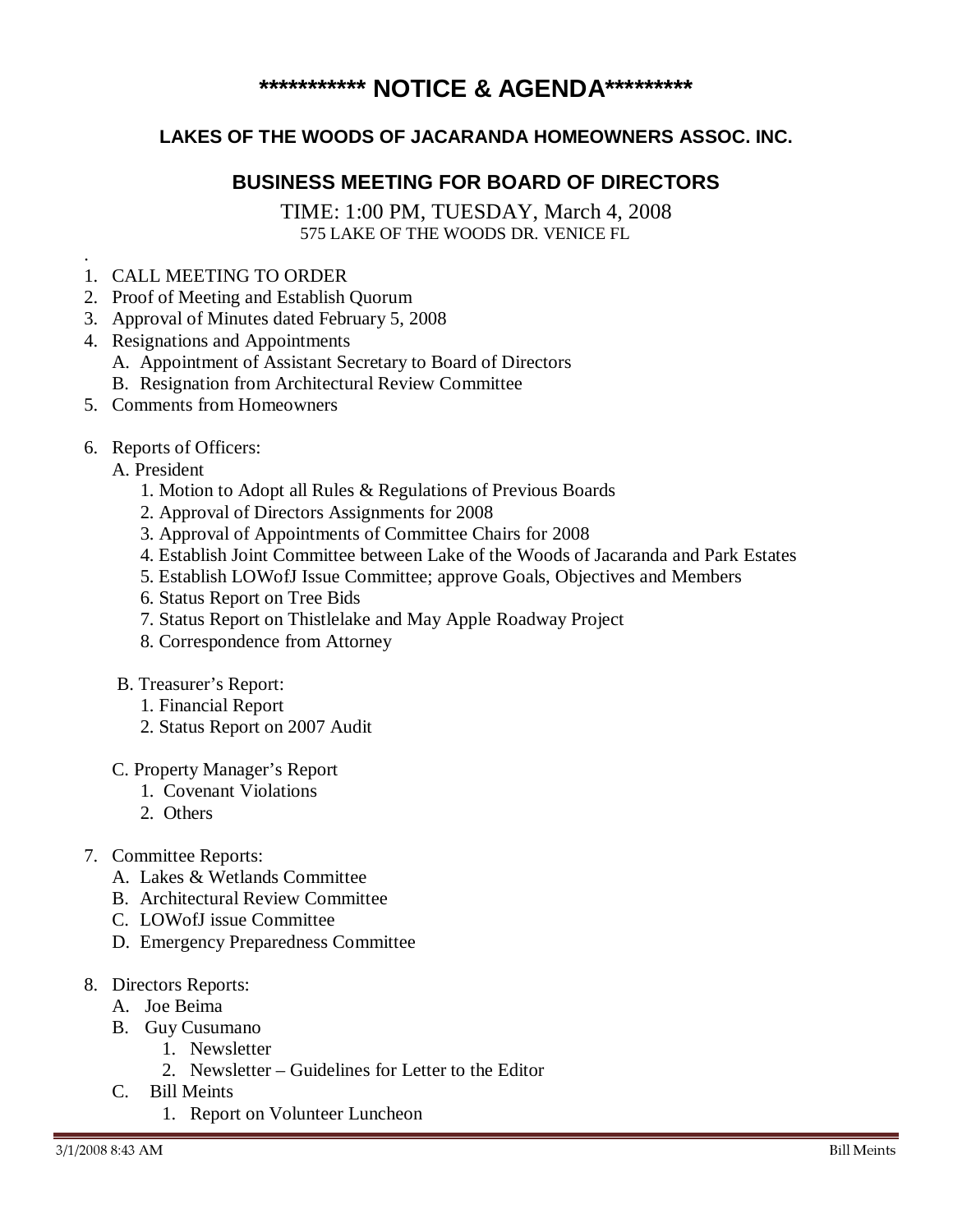## **\*\*\*\*\*\*\*\*\*\*\* NOTICE & AGENDA\*\*\*\*\*\*\*\*\***

## **LAKES OF THE WOODS OF JACARANDA HOMEOWNERS ASSOC. INC.**

## **BUSINESS MEETING FOR BOARD OF DIRECTORS**

TIME: 1:00 PM, TUESDAY, March 4, 2008 575 LAKE OF THE WOODS DR. VENICE FL

- 1. CALL MEETING TO ORDER
- 2. Proof of Meeting and Establish Quorum
- 3. Approval of Minutes dated February 5, 2008
- 4. Resignations and Appointments
	- A. Appointment of Assistant Secretary to Board of Directors
	- B. Resignation from Architectural Review Committee
- 5. Comments from Homeowners
- 6. Reports of Officers:
	- A. President

.

- 1. Motion to Adopt all Rules & Regulations of Previous Boards
- 2. Approval of Directors Assignments for 2008
- 3. Approval of Appointments of Committee Chairs for 2008
- 4. Establish Joint Committee between Lake of the Woods of Jacaranda and Park Estates
- 5. Establish LOWofJ Issue Committee; approve Goals, Objectives and Members
- 6. Status Report on Tree Bids
- 7. Status Report on Thistlelake and May Apple Roadway Project
- 8. Correspondence from Attorney
- B. Treasurer's Report:
	- 1. Financial Report
	- 2. Status Report on 2007 Audit
- C. Property Manager's Report
	- 1. Covenant Violations
	- 2. Others
- 7. Committee Reports:
	- A. Lakes & Wetlands Committee
	- B. Architectural Review Committee
	- C. LOWofJ issue Committee
	- D. Emergency Preparedness Committee
- 8. Directors Reports:
	- A. Joe Beima
	- B. Guy Cusumano
		- 1. Newsletter
			- 2. Newsletter Guidelines for Letter to the Editor
	- C. Bill Meints
		- 1. Report on Volunteer Luncheon